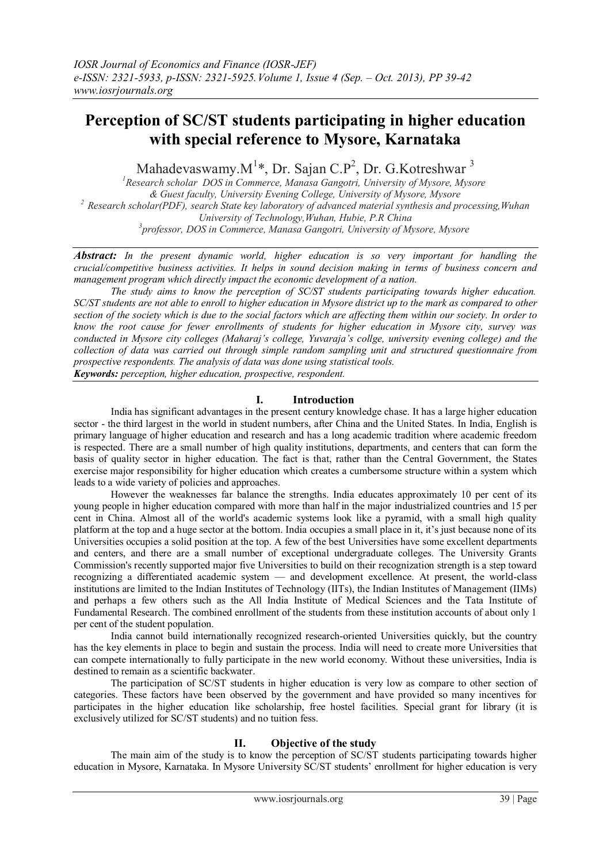# **Perception of SC/ST students participating in higher education with special reference to Mysore, Karnataka**

Mahadevaswamy. $M^{1*}$ , Dr. Sajan C.P<sup>2</sup>, Dr. G.Kotreshwar<sup>3</sup>

*<sup>1</sup>Research scholar DOS in Commerce, Manasa Gangotri, University of Mysore, Mysore & Guest faculty, University Evening College, University of Mysore, Mysore <sup>2</sup>Research scholar(PDF), search State key laboratory of advanced material synthesis and processing,Wuhan University of Technology,Wuhan, Hubie, P.R China 3 professor, DOS in Commerce, Manasa Gangotri, University of Mysore, Mysore*

*Abstract: In the present dynamic world, higher education is so very important for handling the crucial/competitive business activities. It helps in sound decision making in terms of business concern and management program which directly impact the economic development of a nation.*

*The study aims to know the perception of SC/ST students participating towards higher education. SC/ST students are not able to enroll to higher education in Mysore district up to the mark as compared to other section of the society which is due to the social factors which are affecting them within our society. In order to know the root cause for fewer enrollments of students for higher education in Mysore city, survey was conducted in Mysore city colleges (Maharaj's college, Yuvaraja's collge, university evening college) and the collection of data was carried out through simple random sampling unit and structured questionnaire from prospective respondents. The analysis of data was done using statistical tools.*

*Keywords: perception, higher education, prospective, respondent.*

## **I. Introduction**

India has significant advantages in the present century knowledge chase. It has a large higher education sector - the third largest in the world in student numbers, after China and the United States. In India, English is primary language of higher education and research and has a long academic tradition where academic freedom is respected. There are a small number of high quality institutions, departments, and centers that can form the basis of quality sector in higher education. The fact is that, rather than the Central Government, the States exercise major responsibility for higher education which creates a cumbersome structure within a system which leads to a wide variety of policies and approaches.

However the weaknesses far balance the strengths. India educates approximately 10 per cent of its young people in higher education compared with more than half in the major industrialized countries and 15 per cent in China. Almost all of the world's academic systems look like a pyramid, with a small high quality platform at the top and a huge sector at the bottom. India occupies a small place in it, it's just because none of its Universities occupies a solid position at the top. A few of the best Universities have some excellent departments and centers, and there are a small number of exceptional undergraduate colleges. The University Grants Commission's recently supported major five Universities to build on their recognization strength is a step toward recognizing a differentiated academic system — and development excellence. At present, the world-class institutions are limited to the Indian Institutes of Technology (IITs), the Indian Institutes of Management (IIMs) and perhaps a few others such as the All India Institute of Medical Sciences and the Tata Institute of Fundamental Research. The combined enrollment of the students from these institution accounts of about only 1 per cent of the student population.

India cannot build internationally recognized research-oriented Universities quickly, but the country has the key elements in place to begin and sustain the process. India will need to create more Universities that can compete internationally to fully participate in the new world economy. Without these universities, India is destined to remain as a scientific backwater.

The participation of SC/ST students in higher education is very low as compare to other section of categories. These factors have been observed by the government and have provided so many incentives for participates in the higher education like scholarship, free hostel facilities. Special grant for library (it is exclusively utilized for SC/ST students) and no tuition fess.

## **II. Objective of the study**

The main aim of the study is to know the perception of SC/ST students participating towards higher education in Mysore, Karnataka. In Mysore University SC/ST students' enrollment for higher education is very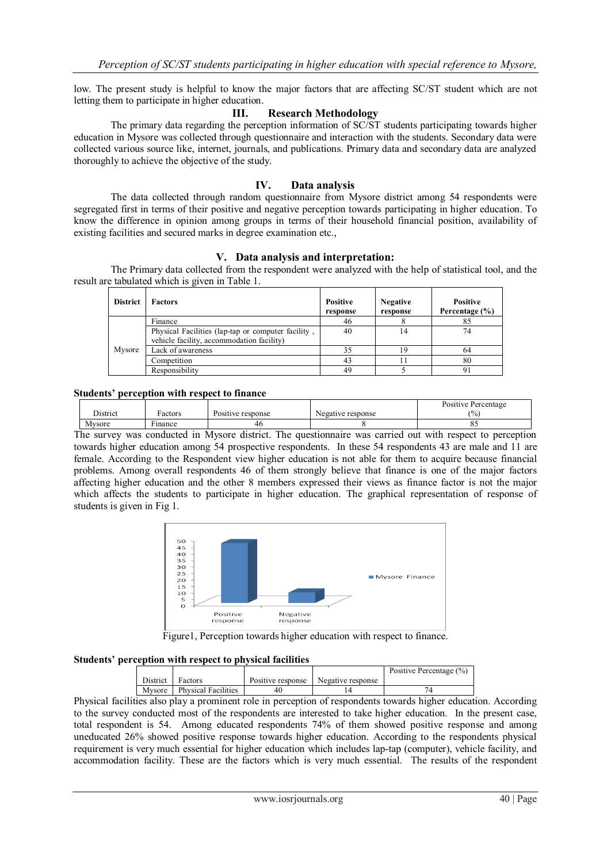low. The present study is helpful to know the major factors that are affecting SC/ST student which are not letting them to participate in higher education.

## **III. Research Methodology**

The primary data regarding the perception information of SC/ST students participating towards higher education in Mysore was collected through questionnaire and interaction with the students. Secondary data were collected various source like, internet, journals, and publications. Primary data and secondary data are analyzed thoroughly to achieve the objective of the study.

## **IV. Data analysis**

The data collected through random questionnaire from Mysore district among 54 respondents were segregated first in terms of their positive and negative perception towards participating in higher education. To know the difference in opinion among groups in terms of their household financial position, availability of existing facilities and secured marks in degree examination etc.,

## **V. Data analysis and interpretation:**

 The Primary data collected from the respondent were analyzed with the help of statistical tool, and the result are tabulated which is given in Table 1.

| <b>District</b> | <b>Factors</b>                                                                                  | <b>Positive</b><br>response | <b>Negative</b><br>response | <b>Positive</b><br>Percentage $(\% )$ |
|-----------------|-------------------------------------------------------------------------------------------------|-----------------------------|-----------------------------|---------------------------------------|
|                 | Finance                                                                                         | 46                          |                             | 85                                    |
|                 | Physical Facilities (lap-tap or computer facility,<br>vehicle facility, accommodation facility) | 40                          | 14                          | 74                                    |
| Mysore          | Lack of awareness                                                                               | 35                          | 19                          | 64                                    |
|                 | Competition                                                                                     | 43                          |                             | 80                                    |
|                 | Responsibility                                                                                  | 49                          |                             |                                       |

### **Students' perception with respect to finance**

|          |              |                   |                   | Positive Percentage |
|----------|--------------|-------------------|-------------------|---------------------|
| District | Factors      | Positive response | Negative response | $\frac{1}{2}$       |
| Mysore   | ÷<br>Finance | 46                |                   | . .                 |

The survey was conducted in Mysore district. The questionnaire was carried out with respect to perception towards higher education among 54 prospective respondents. In these 54 respondents 43 are male and 11 are female. According to the Respondent view higher education is not able for them to acquire because financial problems. Among overall respondents 46 of them strongly believe that finance is one of the major factors affecting higher education and the other 8 members expressed their views as finance factor is not the major which affects the students to participate in higher education. The graphical representation of response of students is given in Fig 1.



Figure1, Perception towards higher education with respect to finance.

#### **Students' perception with respect to physical facilities**

|          |                            |                   |                   | Positive Percentage (%) |
|----------|----------------------------|-------------------|-------------------|-------------------------|
| District | Factors                    | Positive response | Negative response |                         |
| Mysore   | <b>Physical Facilities</b> |                   |                   |                         |

Physical facilities also play a prominent role in perception of respondents towards higher education. According to the survey conducted most of the respondents are interested to take higher education. In the present case, total respondent is 54. Among educated respondents 74% of them showed positive response and among uneducated 26% showed positive response towards higher education. According to the respondents physical requirement is very much essential for higher education which includes lap-tap (computer), vehicle facility, and accommodation facility. These are the factors which is very much essential. The results of the respondent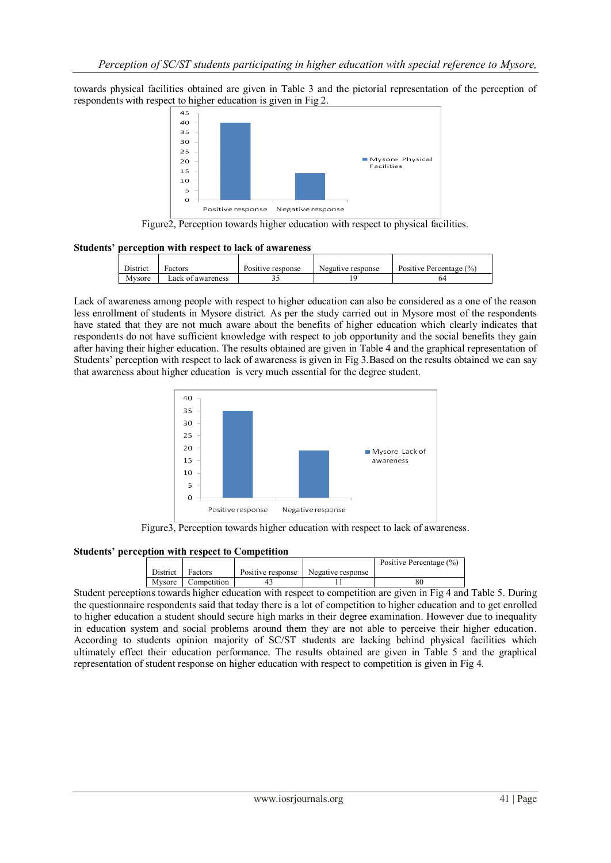towards physical facilities obtained are given in Table 3 and the pictorial representation of the perception of respondents with respect to higher education is given in Fig 2.



Figure2, Perception towards higher education with respect to physical facilities.

### **Students' perception with respect to lack of awareness**

| District | Factors           | Positive response | Negative response | Positive Percentage (%) |
|----------|-------------------|-------------------|-------------------|-------------------------|
| Mvsore   | Lack of awareness |                   |                   |                         |

Lack of awareness among people with respect to higher education can also be considered as a one of the reason less enrollment of students in Mysore district. As per the study carried out in Mysore most of the respondents have stated that they are not much aware about the benefits of higher education which clearly indicates that respondents do not have sufficient knowledge with respect to job opportunity and the social benefits they gain after having their higher education. The results obtained are given in Table 4 and the graphical representation of Students' perception with respect to lack of awareness is given in Fig 3.Based on the results obtained we can say that awareness about higher education is very much essential for the degree student.



Figure3, Perception towards higher education with respect to lack of awareness.

### **Students' perception with respect to Competition**

|          |             |                   |                   | Positive Percentage (%) |
|----------|-------------|-------------------|-------------------|-------------------------|
| District | Factors     | Positive response | Negative response |                         |
| Mysore   | Competition |                   |                   |                         |

Student perceptions towards higher education with respect to competition are given in Fig 4 and Table 5. During the questionnaire respondents said that today there is a lot of competition to higher education and to get enrolled to higher education a student should secure high marks in their degree examination. However due to inequality in education system and social problems around them they are not able to perceive their higher education. According to students opinion majority of SC/ST students are lacking behind physical facilities which ultimately effect their education performance. The results obtained are given in Table 5 and the graphical representation of student response on higher education with respect to competition is given in Fig 4.